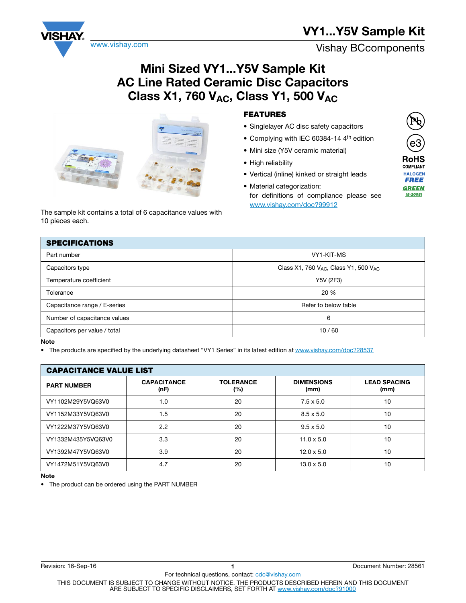# VY1...Y5V Sample Kit

www.vishay.com **Vishay BCcomponents** 

## Mini Sized VY1...Y5V Sample Kit AC Line Rated Ceramic Disc Capacitors Class X1, 760  $V_{AC}$ , Class Y1, 500  $V_{AC}$

| The sample kit contains a total of 6 capacitance values with |
|--------------------------------------------------------------|
| 10 pieces each.                                              |

## FEATURES

- Singlelayer AC disc safety capacitors
- Complying with IEC 60384-14 4<sup>th</sup> edition
- Mini size (Y5V ceramic material)
- High reliability
- Vertical (inline) kinked or straight leads
- Material categorization: for definitions of compliance please see www.vishay.com/doc?99912

| <b>SPECIFICATIONS</b>        |                                                 |
|------------------------------|-------------------------------------------------|
| Part number                  | VY1-KIT-MS                                      |
| Capacitors type              | Class X1, 760 $V_{AC}$ , Class Y1, 500 $V_{AC}$ |
| Temperature coefficient      | Y5V (2F3)                                       |
| Tolerance                    | 20%                                             |
| Capacitance range / E-series | Refer to below table                            |
| Number of capacitance values | 6                                               |
| Capacitors per value / total | 10/60                                           |
|                              |                                                 |

#### Note

• The products are specified by the underlying datasheet "VY1 Series" in its latest edition at www.vishay.com/doc?28537

| <b>CAPACITANCE VALUE LIST</b> |                            |                         |                           |                             |  |
|-------------------------------|----------------------------|-------------------------|---------------------------|-----------------------------|--|
| <b>PART NUMBER</b>            | <b>CAPACITANCE</b><br>(nF) | <b>TOLERANCE</b><br>(%) | <b>DIMENSIONS</b><br>(mm) | <b>LEAD SPACING</b><br>(mm) |  |
| VY1102M29Y5VQ63V0             | 1.0                        | 20                      | $7.5 \times 5.0$          | 10                          |  |
| VY1152M33Y5VQ63V0             | 1.5                        | 20                      | $8.5 \times 5.0$          | 10                          |  |
| VY1222M37Y5VQ63V0             | 2.2                        | 20                      | $9.5 \times 5.0$          | 10                          |  |
| VY1332M435Y5VQ63V0            | 3.3                        | 20                      | $11.0 \times 5.0$         | 10                          |  |
| VY1392M47Y5VQ63V0             | 3.9                        | 20                      | $12.0 \times 5.0$         | 10                          |  |
| VY1472M51Y5VQ63V0             | 4.7                        | 20                      | $13.0 \times 5.0$         | 10                          |  |

Note

• The product can be ordered using the PART NUMBER